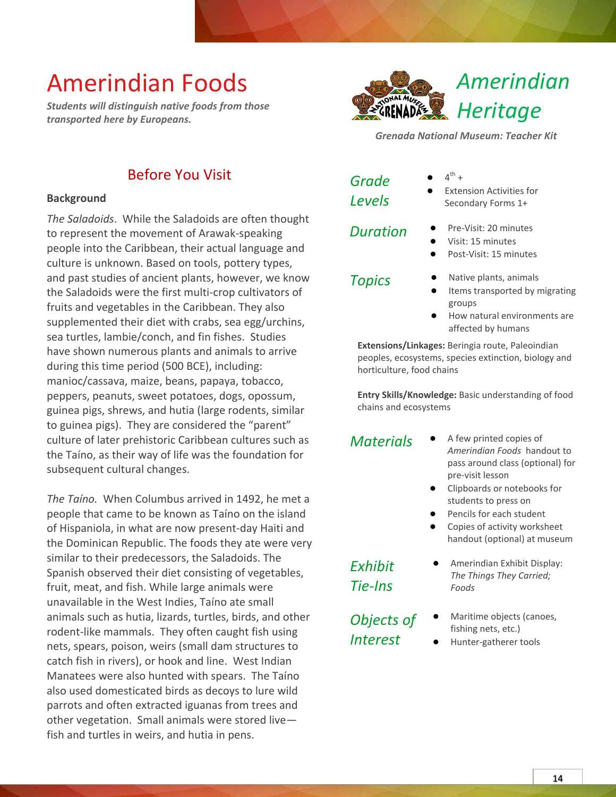*Students will distinguish native foods from those transported here by Europeans.*



*Grenada National Museum: Teacher Kit*

### Before You Visit

#### **Background**

*The Saladoids*. While the Saladoids are often thought to represent the movement of Arawak-speaking people into the Caribbean, their actual language and culture is unknown. Based on tools, pottery types, and past studies of ancient plants, however, we know the Saladoids were the first multi-crop cultivators of fruits and vegetables in the Caribbean. They also supplemented their diet with crabs, sea egg/urchins, sea turtles, lambie/conch, and fin fishes. Studies have shown numerous plants and animals to arrive during this time period (500 BCE), including: manioc/cassava, maize, beans, papaya, tobacco, peppers, peanuts, sweet potatoes, dogs, opossum, guinea pigs, shrews, and hutia (large rodents, similar to guinea pigs). They are considered the "parent" culture of later prehistoric Caribbean cultures such as the Taíno, as their way of life was the foundation for subsequent cultural changes.

*The Taíno.* When Columbus arrived in 1492, he met a people that came to be known as Taíno on the island of Hispaniola, in what are now present-day Haiti and the Dominican Republic. The foods they ate were very similar to their predecessors, the Saladoids. The Spanish observed their diet consisting of vegetables, fruit, meat, and fish. While large animals were unavailable in the West Indies, Taíno ate small animals such as hutia, lizards, turtles, birds, and other rodent-like mammals. They often caught fish using nets, spears, poison, weirs (small dam structures to catch fish in rivers), or hook and line. West Indian Manatees were also hunted with spears. The Taíno also used domesticated birds as decoys to lure wild parrots and often extracted iguanas from trees and other vegetation. Small animals were stored live fish and turtles in weirs, and hutia in pens.

| Grade         |  |
|---------------|--|
| <b>Levels</b> |  |

- $\bullet$  4<sup>th</sup> +
- **Extension Activities for** Secondary Forms 1+

- *Duration* **●** Pre-Visit: 20 minutes
	- **●** Visit: 15 minutes **●** Post-Visit: 15 minutes
	-
- 
- *Topics* **●** Native plants, animals
	- **Items transported by migrating** groups
	- **●** How natural environments are affected by humans

**Extensions/Linkages:** Beringia route, Paleoindian peoples, ecosystems, species extinction, biology and horticulture, food chains

**Entry Skills/Knowledge:** Basic understanding of food chains and ecosystems

- *Materials* **●** A few printed copies of *Amerindian Foods* handout to pass around class (optional) for pre-visit lesson
	- **●** Clipboards or notebooks for students to press on
	- Pencils for each student
	- Copies of activity worksheet handout (optional) at museum

**●** Amerindian Exhibit Display: *The Things They Carried;* 

*Exhibit Tie-Ins*

*Objects of Interest*

- **Maritime objects (canoes,**
- fishing nets, etc.)

*Foods*

**●** Hunter-gatherer tools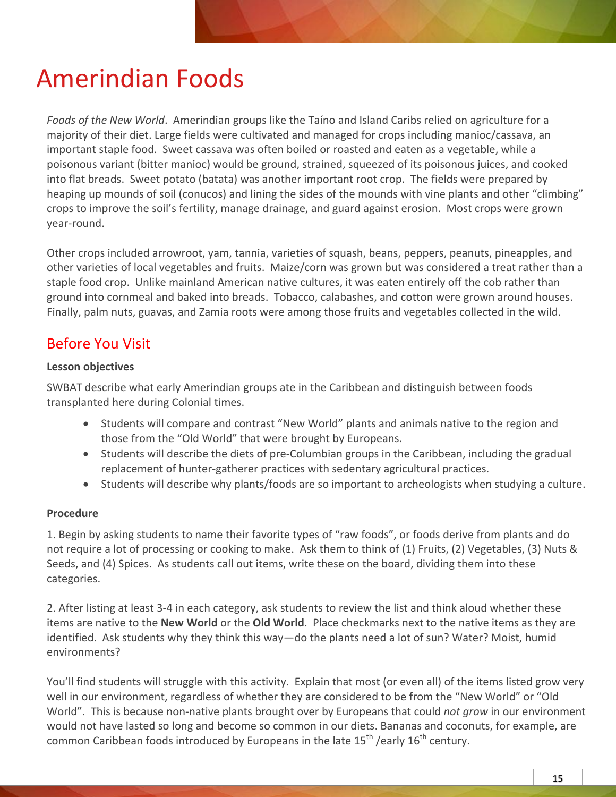*Foods of the New World*. Amerindian groups like the Taíno and Island Caribs relied on agriculture for a majority of their diet. Large fields were cultivated and managed for crops including manioc/cassava, an important staple food. Sweet cassava was often boiled or roasted and eaten as a vegetable, while a poisonous variant (bitter manioc) would be ground, strained, squeezed of its poisonous juices, and cooked into flat breads. Sweet potato (batata) was another important root crop. The fields were prepared by heaping up mounds of soil (conucos) and lining the sides of the mounds with vine plants and other "climbing" crops to improve the soil's fertility, manage drainage, and guard against erosion. Most crops were grown year-round.

Other crops included arrowroot, yam, tannia, varieties of squash, beans, peppers, peanuts, pineapples, and other varieties of local vegetables and fruits. Maize/corn was grown but was considered a treat rather than a staple food crop. Unlike mainland American native cultures, it was eaten entirely off the cob rather than ground into cornmeal and baked into breads. Tobacco, calabashes, and cotton were grown around houses. Finally, palm nuts, guavas, and Zamia roots were among those fruits and vegetables collected in the wild.

### Before You Visit

#### **Lesson objectives**

SWBAT describe what early Amerindian groups ate in the Caribbean and distinguish between foods transplanted here during Colonial times.

- Students will compare and contrast "New World" plants and animals native to the region and those from the "Old World" that were brought by Europeans.
- Students will describe the diets of pre-Columbian groups in the Caribbean, including the gradual replacement of hunter-gatherer practices with sedentary agricultural practices.
- Students will describe why plants/foods are so important to archeologists when studying a culture.

#### **Procedure**

1. Begin by asking students to name their favorite types of "raw foods", or foods derive from plants and do not require a lot of processing or cooking to make. Ask them to think of (1) Fruits, (2) Vegetables, (3) Nuts & Seeds, and (4) Spices. As students call out items, write these on the board, dividing them into these categories.

2. After listing at least 3-4 in each category, ask students to review the list and think aloud whether these items are native to the **New World** or the **Old World**. Place checkmarks next to the native items as they are identified. Ask students why they think this way—do the plants need a lot of sun? Water? Moist, humid environments?

You'll find students will struggle with this activity. Explain that most (or even all) of the items listed grow very well in our environment, regardless of whether they are considered to be from the "New World" or "Old World". This is because non-native plants brought over by Europeans that could *not grow* in our environment would not have lasted so long and become so common in our diets. Bananas and coconuts, for example, are common Caribbean foods introduced by Europeans in the late  $15^{th}$  /early  $16^{th}$  century.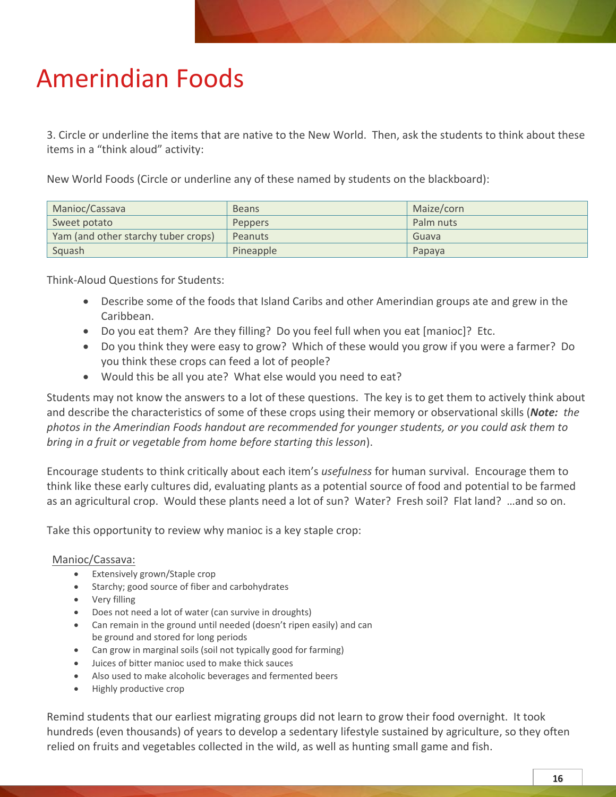3. Circle or underline the items that are native to the New World. Then, ask the students to think about these items in a "think aloud" activity:

New World Foods (Circle or underline any of these named by students on the blackboard):

| Manioc/Cassava                      | <b>Beans</b>   | Maize/corn |
|-------------------------------------|----------------|------------|
| Sweet potato                        | <b>Peppers</b> | Palm nuts  |
| Yam (and other starchy tuber crops) | Peanuts        | Guava      |
| Squash                              | Pineapple      | Papaya     |

Think-Aloud Questions for Students:

- Describe some of the foods that Island Caribs and other Amerindian groups ate and grew in the Caribbean.
- Do you eat them? Are they filling? Do you feel full when you eat [manioc]? Etc.
- Do you think they were easy to grow? Which of these would you grow if you were a farmer? Do you think these crops can feed a lot of people?
- Would this be all you ate? What else would you need to eat?

Students may not know the answers to a lot of these questions. The key is to get them to actively think about and describe the characteristics of some of these crops using their memory or observational skills (*Note: the photos in the Amerindian Foods handout are recommended for younger students, or you could ask them to bring in a fruit or vegetable from home before starting this lesson*).

Encourage students to think critically about each item's *usefulness* for human survival. Encourage them to think like these early cultures did, evaluating plants as a potential source of food and potential to be farmed as an agricultural crop. Would these plants need a lot of sun? Water? Fresh soil? Flat land? …and so on.

Take this opportunity to review why manioc is a key staple crop:

#### Manioc/Cassava:

- Extensively grown/Staple crop
- Starchy; good source of fiber and carbohydrates
- Very filling
- Does not need a lot of water (can survive in droughts)
- Can remain in the ground until needed (doesn't ripen easily) and can be ground and stored for long periods
- Can grow in marginal soils (soil not typically good for farming)
- Juices of bitter manioc used to make thick sauces
- Also used to make alcoholic beverages and fermented beers
- Highly productive crop

Remind students that our earliest migrating groups did not learn to grow their food overnight. It took hundreds (even thousands) of years to develop a sedentary lifestyle sustained by agriculture, so they often relied on fruits and vegetables collected in the wild, as well as hunting small game and fish.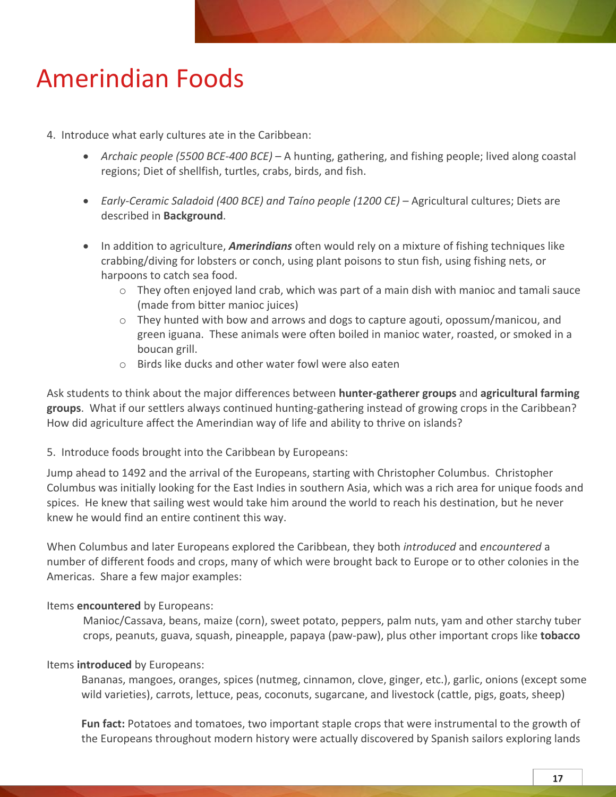4. Introduce what early cultures ate in the Caribbean:

- *Archaic people (5500 BCE-400 BCE)* A hunting, gathering, and fishing people; lived along coastal regions; Diet of shellfish, turtles, crabs, birds, and fish.
- *Early-Ceramic Saladoid (400 BCE) and Taíno people (1200 CE)*  Agricultural cultures; Diets are described in **Background**.
- In addition to agriculture, *Amerindians* often would rely on a mixture of fishing techniques like crabbing/diving for lobsters or conch, using plant poisons to stun fish, using fishing nets, or harpoons to catch sea food.
	- $\circ$  They often enjoyed land crab, which was part of a main dish with manioc and tamali sauce (made from bitter manioc juices)
	- $\circ$  They hunted with bow and arrows and dogs to capture agouti, opossum/manicou, and green iguana. These animals were often boiled in manioc water, roasted, or smoked in a boucan grill.
	- o Birds like ducks and other water fowl were also eaten

Ask students to think about the major differences between **hunter-gatherer groups** and **agricultural farming groups**. What if our settlers always continued hunting-gathering instead of growing crops in the Caribbean? How did agriculture affect the Amerindian way of life and ability to thrive on islands?

5. Introduce foods brought into the Caribbean by Europeans:

Jump ahead to 1492 and the arrival of the Europeans, starting with Christopher Columbus. Christopher Columbus was initially looking for the East Indies in southern Asia, which was a rich area for unique foods and spices. He knew that sailing west would take him around the world to reach his destination, but he never knew he would find an entire continent this way.

When Columbus and later Europeans explored the Caribbean, they both *introduced* and *encountered* a number of different foods and crops, many of which were brought back to Europe or to other colonies in the Americas. Share a few major examples:

#### Items **encountered** by Europeans:

Manioc/Cassava, beans, maize (corn), sweet potato, peppers, palm nuts, yam and other starchy tuber crops, peanuts, guava, squash, pineapple, papaya (paw-paw), plus other important crops like **tobacco**

#### Items **introduced** by Europeans:

Bananas, mangoes, oranges, spices (nutmeg, cinnamon, clove, ginger, etc.), garlic, onions (except some wild varieties), carrots, lettuce, peas, coconuts, sugarcane, and livestock (cattle, pigs, goats, sheep)

**Fun fact:** Potatoes and tomatoes, two important staple crops that were instrumental to the growth of the Europeans throughout modern history were actually discovered by Spanish sailors exploring lands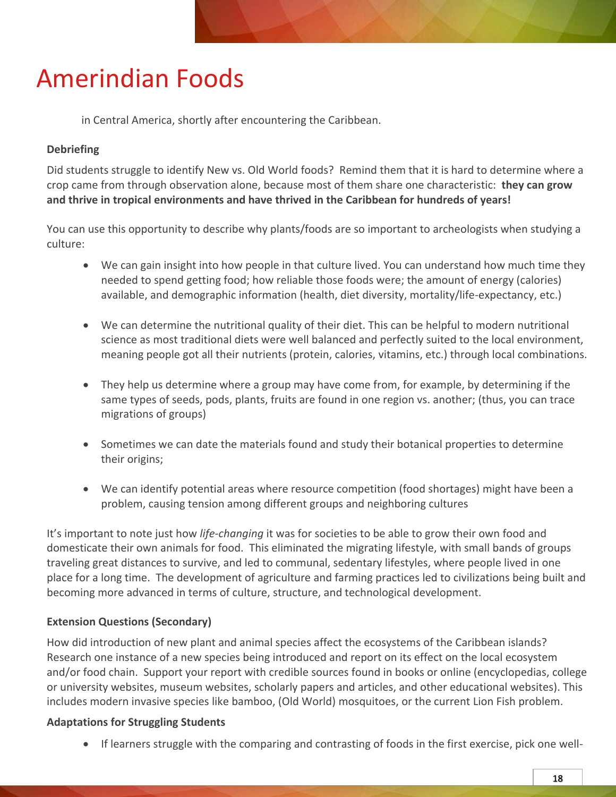in Central America, shortly after encountering the Caribbean.

### **Debriefing**

Did students struggle to identify New vs. Old World foods? Remind them that it is hard to determine where a crop came from through observation alone, because most of them share one characteristic: **they can grow and thrive in tropical environments and have thrived in the Caribbean for hundreds of years!**

You can use this opportunity to describe why plants/foods are so important to archeologists when studying a culture:

- We can gain insight into how people in that culture lived. You can understand how much time they needed to spend getting food; how reliable those foods were; the amount of energy (calories) available, and demographic information (health, diet diversity, mortality/life-expectancy, etc.)
- We can determine the nutritional quality of their diet. This can be helpful to modern nutritional science as most traditional diets were well balanced and perfectly suited to the local environment, meaning people got all their nutrients (protein, calories, vitamins, etc.) through local combinations.
- They help us determine where a group may have come from, for example, by determining if the same types of seeds, pods, plants, fruits are found in one region vs. another; (thus, you can trace migrations of groups)
- Sometimes we can date the materials found and study their botanical properties to determine their origins;
- We can identify potential areas where resource competition (food shortages) might have been a problem, causing tension among different groups and neighboring cultures

It's important to note just how *life-changing* it was for societies to be able to grow their own food and domesticate their own animals for food. This eliminated the migrating lifestyle, with small bands of groups traveling great distances to survive, and led to communal, sedentary lifestyles, where people lived in one place for a long time. The development of agriculture and farming practices led to civilizations being built and becoming more advanced in terms of culture, structure, and technological development.

### **Extension Questions (Secondary)**

How did introduction of new plant and animal species affect the ecosystems of the Caribbean islands? Research one instance of a new species being introduced and report on its effect on the local ecosystem and/or food chain. Support your report with credible sources found in books or online (encyclopedias, college or university websites, museum websites, scholarly papers and articles, and other educational websites). This includes modern invasive species like bamboo, (Old World) mosquitoes, or the current Lion Fish problem.

### **Adaptations for Struggling Students**

If learners struggle with the comparing and contrasting of foods in the first exercise, pick one well-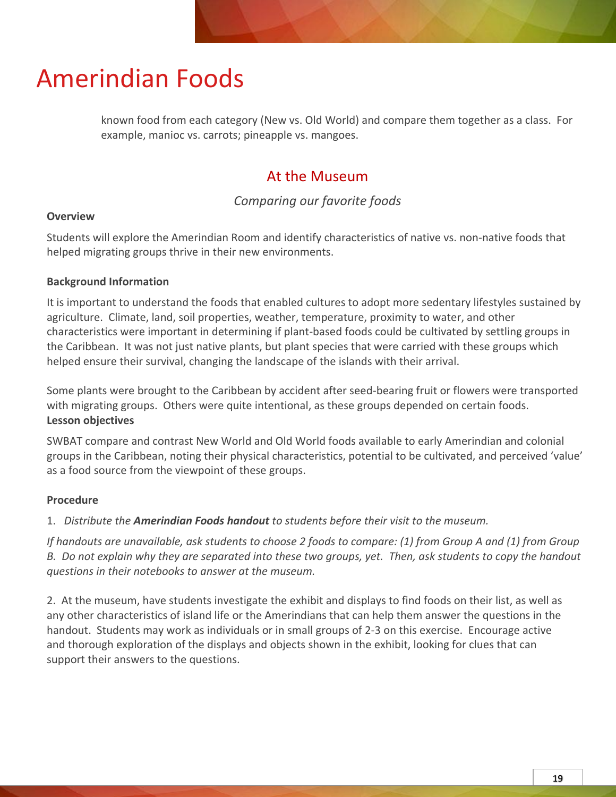known food from each category (New vs. Old World) and compare them together as a class. For example, manioc vs. carrots; pineapple vs. mangoes.

### At the Museum

*Comparing our favorite foods*

#### **Overview**

Students will explore the Amerindian Room and identify characteristics of native vs. non-native foods that helped migrating groups thrive in their new environments.

#### **Background Information**

It is important to understand the foods that enabled cultures to adopt more sedentary lifestyles sustained by agriculture. Climate, land, soil properties, weather, temperature, proximity to water, and other characteristics were important in determining if plant-based foods could be cultivated by settling groups in the Caribbean. It was not just native plants, but plant species that were carried with these groups which helped ensure their survival, changing the landscape of the islands with their arrival.

Some plants were brought to the Caribbean by accident after seed-bearing fruit or flowers were transported with migrating groups. Others were quite intentional, as these groups depended on certain foods. **Lesson objectives**

SWBAT compare and contrast New World and Old World foods available to early Amerindian and colonial groups in the Caribbean, noting their physical characteristics, potential to be cultivated, and perceived 'value' as a food source from the viewpoint of these groups.

#### **Procedure**

1. *Distribute the Amerindian Foods handout to students before their visit to the museum.* 

*If handouts are unavailable, ask students to choose 2 foods to compare: (1) from Group A and (1) from Group B. Do not explain why they are separated into these two groups, yet. Then, ask students to copy the handout questions in their notebooks to answer at the museum.*

2. At the museum, have students investigate the exhibit and displays to find foods on their list, as well as any other characteristics of island life or the Amerindians that can help them answer the questions in the handout. Students may work as individuals or in small groups of 2-3 on this exercise. Encourage active and thorough exploration of the displays and objects shown in the exhibit, looking for clues that can support their answers to the questions.